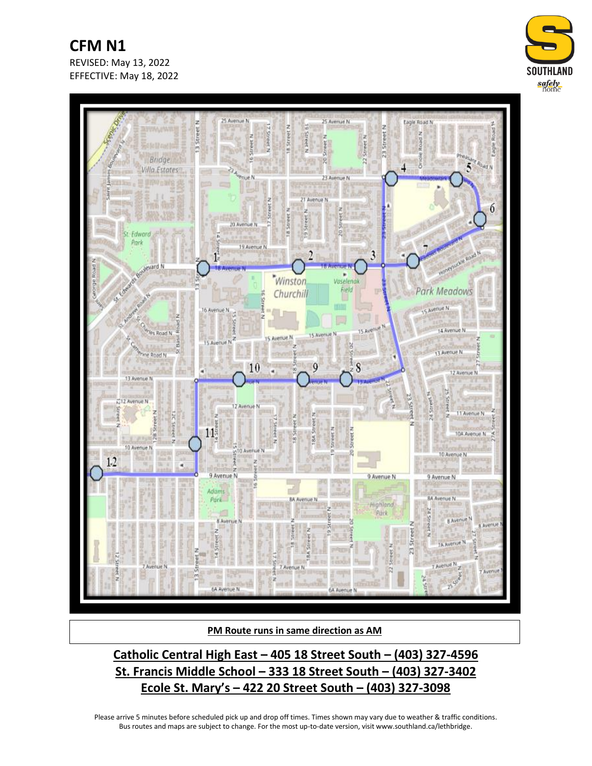**CFM N1** REVISED: May 13, 2022 EFFECTIVE: May 18, 2022





**PM Route runs in same direction as AM**

**Catholic Central High East – 405 18 Street South – (403) 327-4596 St. Francis Middle School – 333 18 Street South – (403) 327-3402 Ecole St. Mary's – 422 20 Street South – (403) 327-3098**

Please arrive 5 minutes before scheduled pick up and drop off times. Times shown may vary due to weather & traffic conditions. Bus routes and maps are subject to change. For the most up-to-date version, visit www.southland.ca/lethbridge.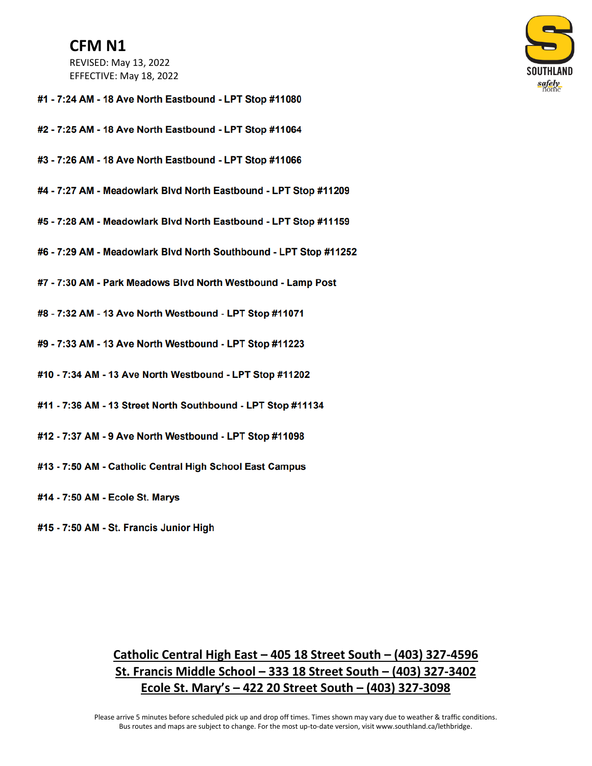## **CFM N1**

REVISED: May 13, 2022 EFFECTIVE: May 18, 2022



- #1 7:24 AM 18 Ave North Eastbound LPT Stop #11080
- #2 7:25 AM 18 Ave North Eastbound LPT Stop #11064
- #3 7:26 AM 18 Ave North Eastbound LPT Stop #11066
- #4 7:27 AM Meadowlark Blvd North Eastbound LPT Stop #11209
- #5 7:28 AM Meadowlark Blvd North Eastbound LPT Stop #11159
- #6 7:29 AM Meadowlark Blvd North Southbound LPT Stop #11252
- #7 7:30 AM Park Meadows Blvd North Westbound Lamp Post
- #8 7:32 AM 13 Ave North Westbound LPT Stop #11071
- #9 7:33 AM 13 Ave North Westbound LPT Stop #11223
- #10 7:34 AM 13 Ave North Westbound LPT Stop #11202
- #11 7:36 AM 13 Street North Southbound LPT Stop #11134
- #12 7:37 AM 9 Ave North Westbound LPT Stop #11098
- #13 7:50 AM Catholic Central High School East Campus
- #14 7:50 AM Ecole St. Marys
- #15 7:50 AM St. Francis Junior High

## Catholic Central High East - 405 18 Street South - (403) 327-4596 St. Francis Middle School - 333 18 Street South - (403) 327-3402 Ecole St. Mary's  $-$  422 20 Street South  $-$  (403) 327-3098

Please arrive 5 minutes before scheduled pick up and drop off times. Times shown may vary due to weather & traffic conditions. Bus routes and maps are subject to change. For the most up-to-date version, visit www.southland.ca/lethbridge.